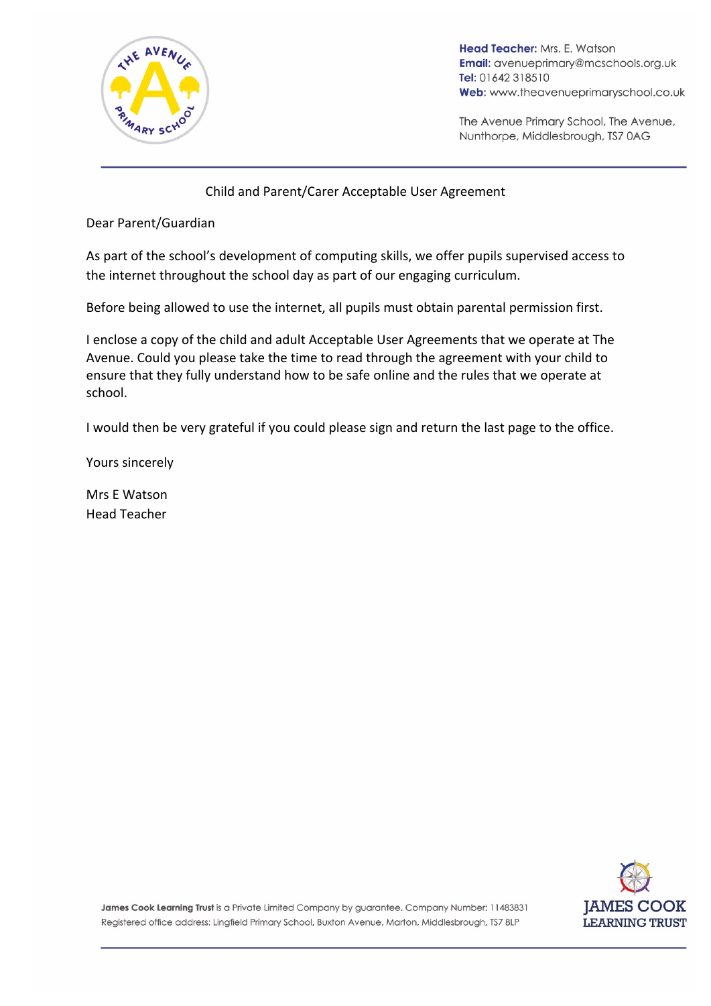

Head Teacher: Mrs. E. Watson **Email:** avenueprimary@mcschools.org.uk Tel: 01642 318510 Web: www.theavenueprimaryschool.co.uk

The Avenue Primary School, The Avenue, Nunthorpe, Middlesbrough, TS7 0AG

#### Child and Parent/Carer Acceptable User Agreement

Dear Parent/Guardian

As part of the school's development of computing skills, we offer pupils supervised access to the internet throughout the school day as part of our engaging curriculum.

Before being allowed to use the internet, all pupils must obtain parental permission first.

I enclose a copy of the child and adult Acceptable User Agreements that we operate at The Avenue. Could you please take the time to read through the agreement with your child to ensure that they fully understand how to be safe online and the rules that we operate at school.

I would then be very grateful if you could please sign and return the last page to the office.

Yours sincerely

Mrs E Watson Head Teacher



James Cook Learning Trust is a Private Limited Company by guarantee. Company Number: 11483831 Registered office address: Lingfield Primary School, Buxton Avenue, Marton, Middlesbrough, TS7 8LP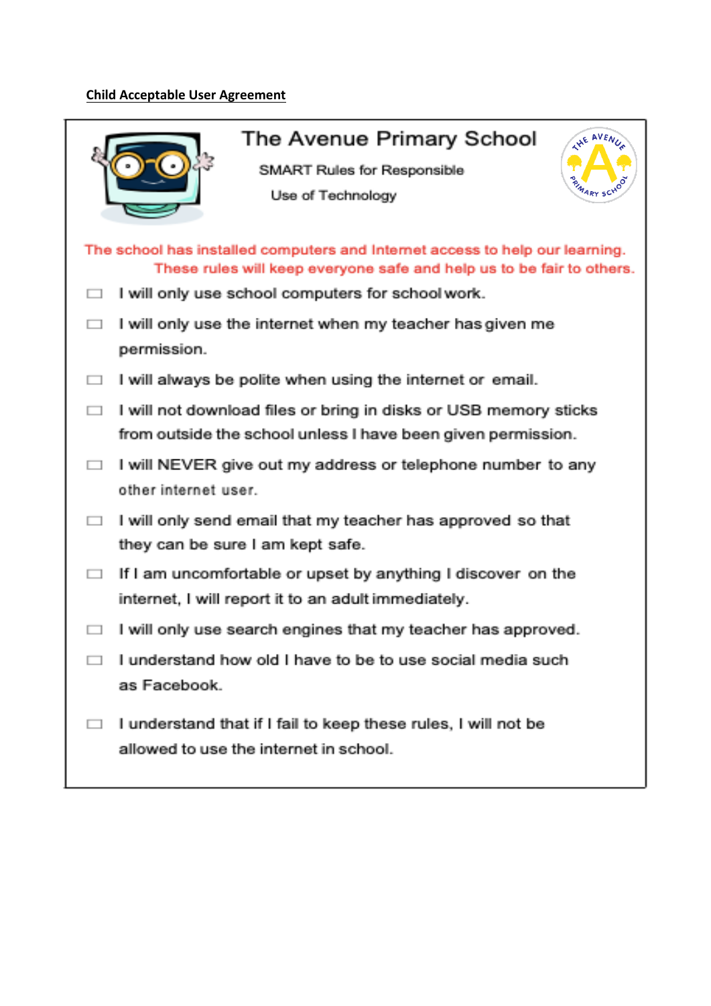# **Child Acceptable User Agreement**

| The Avenue Primary School<br><b>THE AVENUA</b><br>SMART Rules for Responsible<br><b>PRIMARY SCHOOL</b><br>Use of Technology                                                                                |
|------------------------------------------------------------------------------------------------------------------------------------------------------------------------------------------------------------|
| The school has installed computers and Internet access to help our learning.<br>These rules will keep everyone safe and help us to be fair to others.<br>I will only use school computers for school work. |
| I will only use the internet when my teacher has given me<br>permission.                                                                                                                                   |
| I will always be polite when using the internet or email.                                                                                                                                                  |
| I will not download files or bring in disks or USB memory sticks<br>from outside the school unless I have been given permission.                                                                           |
| I will NEVER give out my address or telephone number to any<br>other internet user.                                                                                                                        |
| I will only send email that my teacher has approved so that<br>they can be sure I am kept safe.                                                                                                            |
| If I am uncomfortable or upset by anything I discover on the<br>internet, I will report it to an adult immediately.                                                                                        |
| I will only use search engines that my teacher has approved.                                                                                                                                               |
| I understand how old I have to be to use social media such<br>as Facebook.                                                                                                                                 |
| I understand that if I fail to keep these rules, I will not be<br>allowed to use the internet in school.                                                                                                   |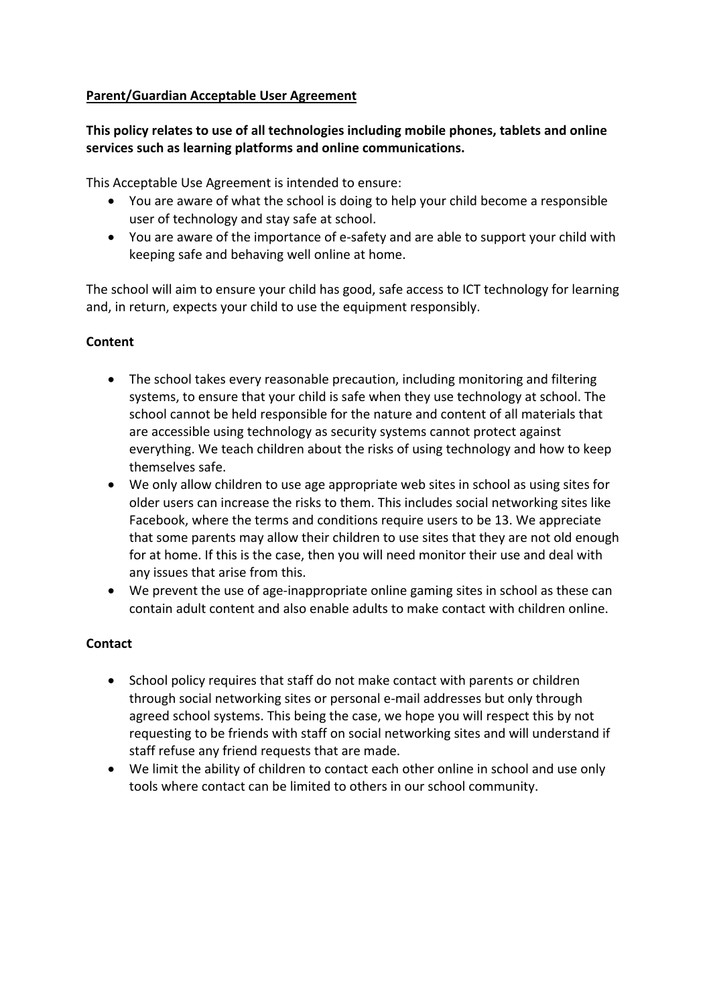#### **Parent/Guardian Acceptable User Agreement**

## **This policy relates to use of all technologies including mobile phones, tablets and online** services such as learning platforms and online communications.

This Acceptable Use Agreement is intended to ensure:

- You are aware of what the school is doing to help your child become a responsible user of technology and stay safe at school.
- You are aware of the importance of e-safety and are able to support your child with keeping safe and behaving well online at home.

The school will aim to ensure your child has good, safe access to ICT technology for learning and, in return, expects your child to use the equipment responsibly.

#### **Content**

- The school takes every reasonable precaution, including monitoring and filtering systems, to ensure that your child is safe when they use technology at school. The school cannot be held responsible for the nature and content of all materials that are accessible using technology as security systems cannot protect against everything. We teach children about the risks of using technology and how to keep themselves safe.
- We only allow children to use age appropriate web sites in school as using sites for older users can increase the risks to them. This includes social networking sites like Facebook, where the terms and conditions require users to be 13. We appreciate that some parents may allow their children to use sites that they are not old enough for at home. If this is the case, then you will need monitor their use and deal with any issues that arise from this.
- We prevent the use of age-inappropriate online gaming sites in school as these can contain adult content and also enable adults to make contact with children online.

#### **Contact**

- School policy requires that staff do not make contact with parents or children through social networking sites or personal e-mail addresses but only through agreed school systems. This being the case, we hope you will respect this by not requesting to be friends with staff on social networking sites and will understand if staff refuse any friend requests that are made.
- We limit the ability of children to contact each other online in school and use only tools where contact can be limited to others in our school community.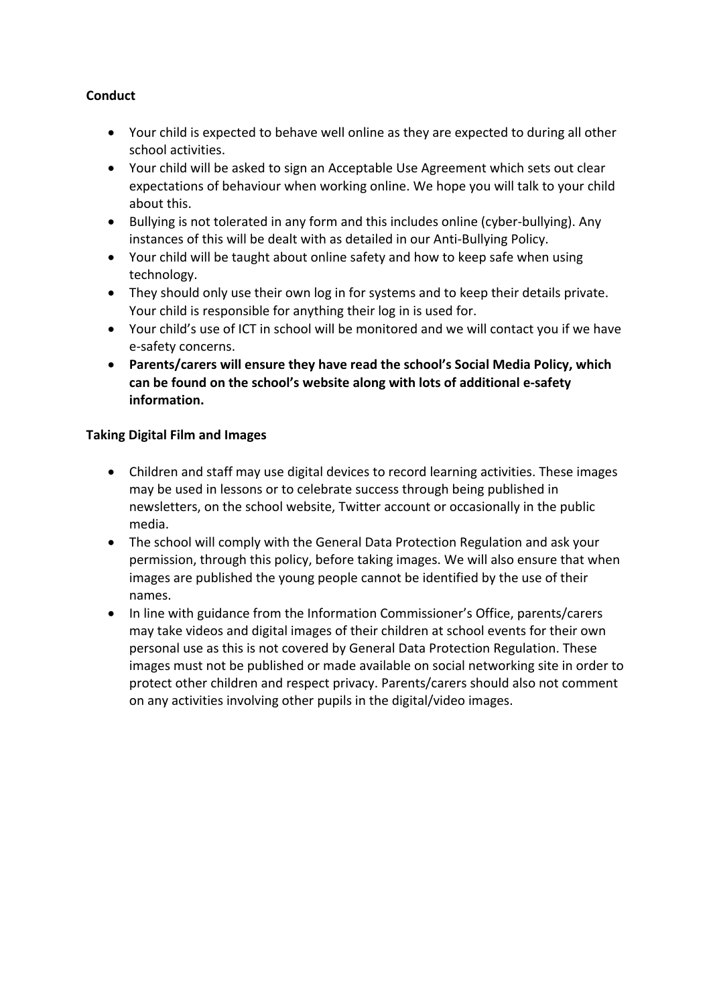# **Conduct**

- Your child is expected to behave well online as they are expected to during all other school activities.
- Your child will be asked to sign an Acceptable Use Agreement which sets out clear expectations of behaviour when working online. We hope you will talk to your child about this.
- Bullying is not tolerated in any form and this includes online (cyber-bullying). Any instances of this will be dealt with as detailed in our Anti-Bullying Policy.
- Your child will be taught about online safety and how to keep safe when using technology.
- They should only use their own log in for systems and to keep their details private. Your child is responsible for anything their log in is used for.
- Your child's use of ICT in school will be monitored and we will contact you if we have e-safety concerns.
- Parents/carers will ensure they have read the school's Social Media Policy, which can be found on the school's website along with lots of additional e-safety **information.**

#### **Taking Digital Film and Images**

- Children and staff may use digital devices to record learning activities. These images may be used in lessons or to celebrate success through being published in newsletters, on the school website, Twitter account or occasionally in the public media.
- The school will comply with the General Data Protection Regulation and ask your permission, through this policy, before taking images. We will also ensure that when images are published the young people cannot be identified by the use of their names.
- In line with guidance from the Information Commissioner's Office, parents/carers may take videos and digital images of their children at school events for their own personal use as this is not covered by General Data Protection Regulation. These images must not be published or made available on social networking site in order to protect other children and respect privacy. Parents/carers should also not comment on any activities involving other pupils in the digital/video images.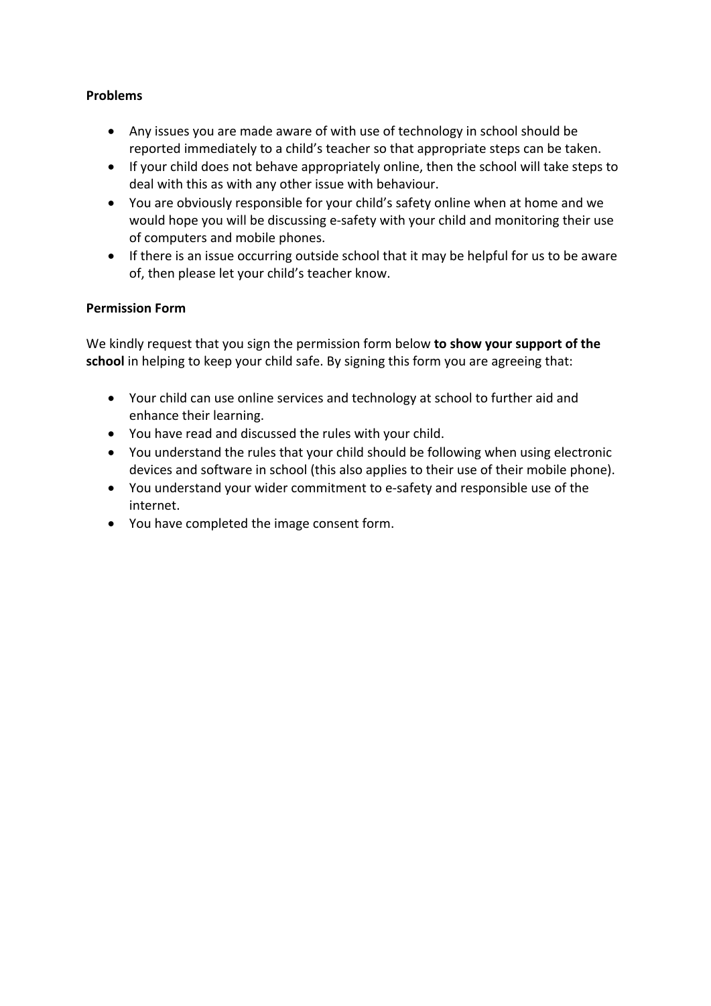#### **Problems**

- Any issues you are made aware of with use of technology in school should be reported immediately to a child's teacher so that appropriate steps can be taken.
- If your child does not behave appropriately online, then the school will take steps to deal with this as with any other issue with behaviour.
- You are obviously responsible for your child's safety online when at home and we would hope you will be discussing e-safety with your child and monitoring their use of computers and mobile phones.
- If there is an issue occurring outside school that it may be helpful for us to be aware of, then please let your child's teacher know.

#### **Permission Form**

We kindly request that you sign the permission form below **to show your support of the school** in helping to keep your child safe. By signing this form you are agreeing that:

- Your child can use online services and technology at school to further aid and enhance their learning.
- You have read and discussed the rules with your child.
- You understand the rules that your child should be following when using electronic devices and software in school (this also applies to their use of their mobile phone).
- You understand your wider commitment to e-safety and responsible use of the internet.
- You have completed the image consent form.